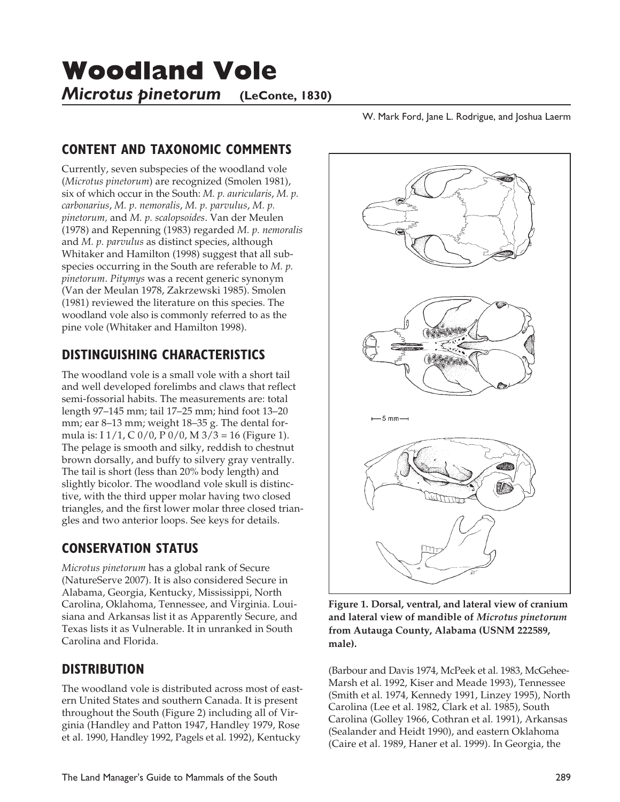**Woodland Vole** 

*Microtus pinetorum* (LeConte, 1830)

W. Mark Ford, Jane L. Rodrigue, and Joshua Laerm

## **CONTENT AND TAXONOMIC COMMENTS**

Currently, seven subspecies of the woodland vole (*Microtus pinetorum*) are recognized (Smolen 1981), six of which occur in the South: *M. p. auricularis*, *M. p. carbonarius*, *M. p. nemoralis*, *M. p. parvulus*, *M. p. pinetorum,* and *M. p. scalopsoides*. Van der Meulen (1978) and Repenning (1983) regarded *M. p. nemoralis* and *M. p. parvulus* as distinct species, although Whitaker and Hamilton (1998) suggest that all subspecies occurring in the South are referable to *M. p. pinetorum*. *Pitymys* was a recent generic synonym (Van der Meulan 1978, Zakrzewski 1985). Smolen (1981) reviewed the literature on this species. The woodland vole also is commonly referred to as the pine vole (Whitaker and Hamilton 1998).

# **DISTINGUISHING CHARACTERISTICS**

The woodland vole is a small vole with a short tail and well developed forelimbs and claws that reflect semi-fossorial habits. The measurements are: total length 97–145 mm; tail 17–25 mm; hind foot 13–20 mm; ear 8–13 mm; weight 18–35 g. The dental formula is: I  $1/1$ , C  $0/0$ , P  $0/0$ , M  $3/3 = 16$  (Figure 1). The pelage is smooth and silky, reddish to chestnut brown dorsally, and buffy to silvery gray ventrally. The tail is short (less than 20% body length) and slightly bicolor. The woodland vole skull is distinctive, with the third upper molar having two closed triangles, and the first lower molar three closed triangles and two anterior loops. See keys for details.

# **CONSERVATION STATUS**

*Microtus pinetorum* has a global rank of Secure (NatureServe 2007). It is also considered Secure in Alabama, Georgia, Kentucky, Mississippi, North Carolina, Oklahoma, Tennessee, and Virginia. Louisiana and Arkansas list it as Apparently Secure, and Texas lists it as Vulnerable. It in unranked in South Carolina and Florida.

# **DISTRIBUTION**

The woodland vole is distributed across most of eastern United States and southern Canada. It is present throughout the South (Figure 2) including all of Virginia (Handley and Patton 1947, Handley 1979, Rose et al. 1990, Handley 1992, Pagels et al. 1992), Kentucky



**Figure 1. Dorsal, ventral, and lateral view of cranium and lateral view of mandible of** *Microtus pinetorum* **from Autauga County, Alabama (USNM 222589, male).**

(Barbour and Davis 1974, McPeek et al. 1983, McGehee-Marsh et al. 1992, Kiser and Meade 1993), Tennessee (Smith et al. 1974, Kennedy 1991, Linzey 1995), North Carolina (Lee et al. 1982, Clark et al. 1985), South Carolina (Golley 1966, Cothran et al. 1991), Arkansas (Sealander and Heidt 1990), and eastern Oklahoma (Caire et al. 1989, Haner et al. 1999). In Georgia, the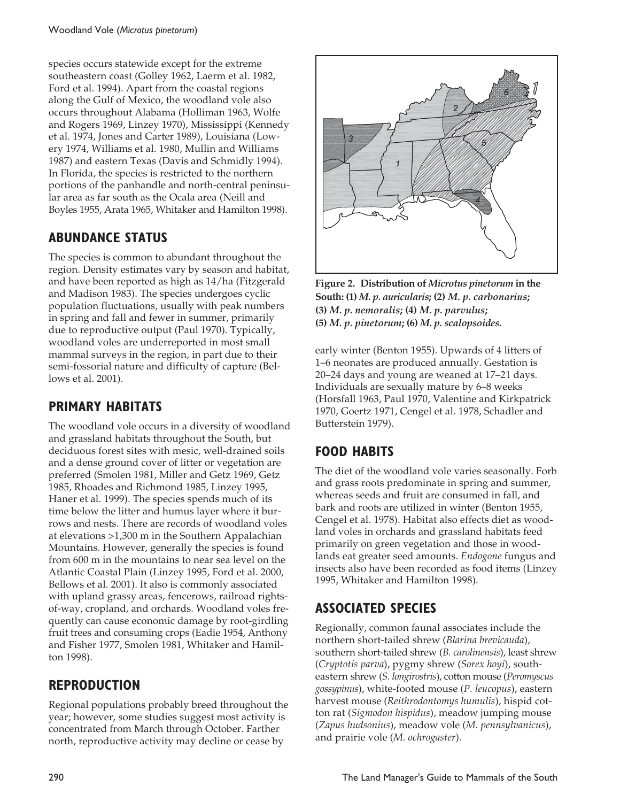species occurs statewide except for the extreme southeastern coast (Golley 1962, Laerm et al. 1982, Ford et al. 1994). Apart from the coastal regions along the Gulf of Mexico, the woodland vole also occurs throughout Alabama (Holliman 1963, Wolfe and Rogers 1969, Linzey 1970), Mississippi (Kennedy et al. 1974, Jones and Carter 1989), Louisiana (Lowery 1974, Williams et al. 1980, Mullin and Williams 1987) and eastern Texas (Davis and Schmidly 1994). In Florida, the species is restricted to the northern portions of the panhandle and north-central peninsular area as far south as the Ocala area (Neill and Boyles 1955, Arata 1965, Whitaker and Hamilton 1998).

### **ABUNDANCE STATUS**

The species is common to abundant throughout the region. Density estimates vary by season and habitat, and have been reported as high as 14/ha (Fitzgerald and Madison 1983). The species undergoes cyclic population fluctuations, usually with peak numbers in spring and fall and fewer in summer, primarily due to reproductive output (Paul 1970). Typically, woodland voles are underreported in most small mammal surveys in the region, in part due to their semi-fossorial nature and difficulty of capture (Bellows et al. 2001).

### **PRIMARY HABITATS**

The woodland vole occurs in a diversity of woodland and grassland habitats throughout the South, but deciduous forest sites with mesic, well-drained soils and a dense ground cover of litter or vegetation are preferred (Smolen 1981, Miller and Getz 1969, Getz 1985, Rhoades and Richmond 1985, Linzey 1995, Haner et al. 1999). The species spends much of its time below the litter and humus layer where it burrows and nests. There are records of woodland voles at elevations >1,300 m in the Southern Appalachian Mountains. However, generally the species is found from 600 m in the mountains to near sea level on the Atlantic Coastal Plain (Linzey 1995, Ford et al. 2000, Bellows et al. 2001). It also is commonly associated with upland grassy areas, fencerows, railroad rightsof-way, cropland, and orchards. Woodland voles frequently can cause economic damage by root-girdling fruit trees and consuming crops (Eadie 1954, Anthony and Fisher 1977, Smolen 1981, Whitaker and Hamilton 1998).

### **REPRODUCTION**

Regional populations probably breed throughout the year; however, some studies suggest most activity is concentrated from March through October. Farther north, reproductive activity may decline or cease by



**Figure 2. Distribution of** *Microtus pinetorum* **in the South: (1)** *M. p. auricularis***; (2)** *M. p. carbonarius***; (3)** *M. p. nemoralis***; (4)** *M. p. parvulus***; (5)** *M. p. pinetorum***; (6)** *M. p. scalopsoides***.**

early winter (Benton 1955). Upwards of 4 litters of 1–6 neonates are produced annually. Gestation is 20–24 days and young are weaned at 17–21 days. Individuals are sexually mature by 6–8 weeks (Horsfall 1963, Paul 1970, Valentine and Kirkpatrick 1970, Goertz 1971, Cengel et al. 1978, Schadler and Butterstein 1979).

## **FOOD HABITS**

The diet of the woodland vole varies seasonally. Forb and grass roots predominate in spring and summer, whereas seeds and fruit are consumed in fall, and bark and roots are utilized in winter (Benton 1955, Cengel et al. 1978). Habitat also effects diet as woodland voles in orchards and grassland habitats feed primarily on green vegetation and those in woodlands eat greater seed amounts. *Endogone* fungus and insects also have been recorded as food items (Linzey 1995, Whitaker and Hamilton 1998).

### **ASSOCIATED SPECIES**

Regionally, common faunal associates include the northern short-tailed shrew (*Blarina brevicauda*), southern short-tailed shrew (*B. carolinensis*), least shrew (*Cryptotis parva*), pygmy shrew (*Sorex hoyi*), southeastern shrew (*S. longirostris*), cotton mouse (*Peromyscus gossypinus*), white-footed mouse (*P. leucopus*), eastern harvest mouse (*Reithrodontomys humulis*), hispid cotton rat (*Sigmodon hispidus*), meadow jumping mouse (*Zapus hudsonius*), meadow vole (*M. pennsylvanicus*), and prairie vole (*M. ochrogaster*).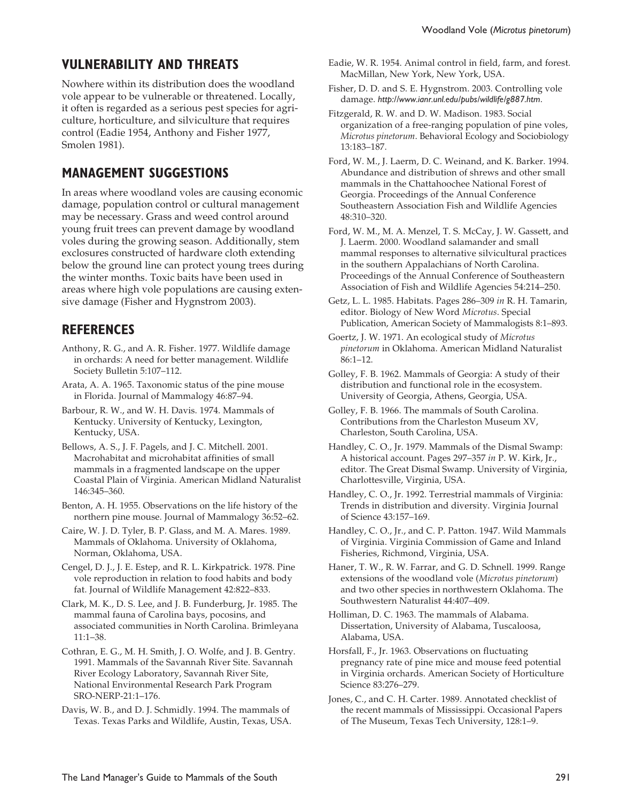#### **VULNERABILITY AND THREATS**

Nowhere within its distribution does the woodland vole appear to be vulnerable or threatened. Locally, it often is regarded as a serious pest species for agriculture, horticulture, and silviculture that requires control (Eadie 1954, Anthony and Fisher 1977, Smolen 1981).

#### **MANAGEMENT SUGGESTIONS**

In areas where woodland voles are causing economic damage, population control or cultural management may be necessary. Grass and weed control around young fruit trees can prevent damage by woodland voles during the growing season. Additionally, stem exclosures constructed of hardware cloth extending below the ground line can protect young trees during the winter months. Toxic baits have been used in areas where high vole populations are causing extensive damage (Fisher and Hygnstrom 2003).

#### **REFERENCES**

- Anthony, R. G., and A. R. Fisher. 1977. Wildlife damage in orchards: A need for better management. Wildlife Society Bulletin 5:107–112.
- Arata, A. A. 1965. Taxonomic status of the pine mouse in Florida. Journal of Mammalogy 46:87–94.
- Barbour, R. W., and W. H. Davis. 1974. Mammals of Kentucky. University of Kentucky, Lexington, Kentucky, USA.
- Bellows, A. S., J. F. Pagels, and J. C. Mitchell. 2001. Macrohabitat and microhabitat affinities of small mammals in a fragmented landscape on the upper Coastal Plain of Virginia. American Midland Naturalist 146:345–360.
- Benton, A. H. 1955. Observations on the life history of the northern pine mouse. Journal of Mammalogy 36:52–62.
- Caire, W. J. D. Tyler, B. P. Glass, and M. A. Mares. 1989. Mammals of Oklahoma. University of Oklahoma, Norman, Oklahoma, USA.
- Cengel, D. J., J. E. Estep, and R. L. Kirkpatrick. 1978. Pine vole reproduction in relation to food habits and body fat. Journal of Wildlife Management 42:822–833.
- Clark, M. K., D. S. Lee, and J. B. Funderburg, Jr. 1985. The mammal fauna of Carolina bays, pocosins, and associated communities in North Carolina. Brimleyana 11:1–38.
- Cothran, E. G., M. H. Smith, J. O. Wolfe, and J. B. Gentry. 1991. Mammals of the Savannah River Site. Savannah River Ecology Laboratory, Savannah River Site, National Environmental Research Park Program SRO-NERP-21:1–176.

Davis, W. B., and D. J. Schmidly. 1994. The mammals of Texas. Texas Parks and Wildlife, Austin, Texas, USA.

- Eadie, W. R. 1954. Animal control in field, farm, and forest. MacMillan, New York, New York, USA.
- Fisher, D. D. and S. E. Hygnstrom. 2003. Controlling vole damage. *http://www.ianr.unl.edu/pubs/wildlife/g887.htm*.
- Fitzgerald, R. W. and D. W. Madison. 1983. Social organization of a free-ranging population of pine voles, *Microtus pinetorum*. Behavioral Ecology and Sociobiology 13:183–187.
- Ford, W. M., J. Laerm, D. C. Weinand, and K. Barker. 1994. Abundance and distribution of shrews and other small mammals in the Chattahoochee National Forest of Georgia. Proceedings of the Annual Conference Southeastern Association Fish and Wildlife Agencies 48:310–320.
- Ford, W. M., M. A. Menzel, T. S. McCay, J. W. Gassett, and J. Laerm. 2000. Woodland salamander and small mammal responses to alternative silvicultural practices in the southern Appalachians of North Carolina. Proceedings of the Annual Conference of Southeastern Association of Fish and Wildlife Agencies 54:214–250.
- Getz, L. L. 1985. Habitats. Pages 286–309 *in* R. H. Tamarin, editor. Biology of New Word *Microtus*. Special Publication, American Society of Mammalogists 8:1–893.
- Goertz, J. W. 1971. An ecological study of *Microtus pinetorum* in Oklahoma. American Midland Naturalist 86:1–12.
- Golley, F. B. 1962. Mammals of Georgia: A study of their distribution and functional role in the ecosystem. University of Georgia, Athens, Georgia, USA.
- Golley, F. B. 1966. The mammals of South Carolina. Contributions from the Charleston Museum XV, Charleston, South Carolina, USA.
- Handley, C. O., Jr. 1979. Mammals of the Dismal Swamp: A historical account. Pages 297–357 *in* P. W. Kirk, Jr., editor. The Great Dismal Swamp. University of Virginia, Charlottesville, Virginia, USA.
- Handley, C. O., Jr. 1992. Terrestrial mammals of Virginia: Trends in distribution and diversity. Virginia Journal of Science 43:157–169.
- Handley, C. O., Jr., and C. P. Patton. 1947. Wild Mammals of Virginia. Virginia Commission of Game and Inland Fisheries, Richmond, Virginia, USA.
- Haner, T. W., R. W. Farrar, and G. D. Schnell. 1999. Range extensions of the woodland vole (*Microtus pinetorum*) and two other species in northwestern Oklahoma. The Southwestern Naturalist 44:407–409.
- Holliman, D. C. 1963. The mammals of Alabama. Dissertation, University of Alabama, Tuscaloosa, Alabama, USA.
- Horsfall, F., Jr. 1963. Observations on fluctuating pregnancy rate of pine mice and mouse feed potential in Virginia orchards. American Society of Horticulture Science 83:276–279.
- Jones, C., and C. H. Carter. 1989. Annotated checklist of the recent mammals of Mississippi. Occasional Papers of The Museum, Texas Tech University, 128:1–9.